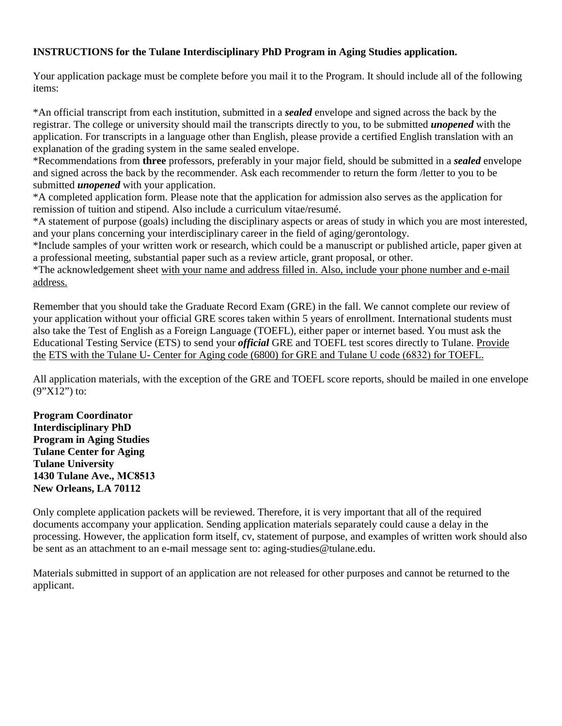#### **INSTRUCTIONS for the Tulane Interdisciplinary PhD Program in Aging Studies application.**

Your application package must be complete before you mail it to the Program. It should include all of the following items:

\*An official transcript from each institution, submitted in a *sealed* envelope and signed across the back by the registrar. The college or university should mail the transcripts directly to you, to be submitted *unopened* with the application. For transcripts in a language other than English, please provide a certified English translation with an explanation of the grading system in the same sealed envelope.

\*Recommendations from **three** professors, preferably in your major field, should be submitted in a *sealed* envelope and signed across the back by the recommender. Ask each recommender to return the form /letter to you to be submitted *unopened* with your application.

\*A completed application form. Please note that the application for admission also serves as the application for remission of tuition and stipend. Also include a curriculum vitae/resumé.

\*A statement of purpose (goals) including the disciplinary aspects or areas of study in which you are most interested, and your plans concerning your interdisciplinary career in the field of aging/gerontology.

\*Include samples of your written work or research, which could be a manuscript or published article, paper given at a professional meeting, substantial paper such as a review article, grant proposal, or other.

\*The acknowledgement sheet with your name and address filled in. Also, include your phone number and e-mail address.

Remember that you should take the Graduate Record Exam (GRE) in the fall. We cannot complete our review of your application without your official GRE scores taken within 5 years of enrollment. International students must also take the Test of English as a Foreign Language (TOEFL), either paper or internet based. You must ask the Educational Testing Service (ETS) to send your *official* GRE and TOEFL test scores directly to Tulane. Provide the ETS with the Tulane U- Center for Aging code (6800) for GRE and Tulane U code (6832) for TOEFL.

All application materials, with the exception of the GRE and TOEFL score reports, should be mailed in one envelope  $(9"X12")$  to:

**Program Coordinator Interdisciplinary PhD Program in Aging Studies Tulane Center for Aging Tulane University 1430 Tulane Ave., MC8513 New Orleans, LA 70112** 

Only complete application packets will be reviewed. Therefore, it is very important that all of the required documents accompany your application. Sending application materials separately could cause a delay in the processing. However, the application form itself, cv, statement of purpose, and examples of written work should also be sent as an attachment to an e-mail message sent to: aging-studies@tulane.edu.

Materials submitted in support of an application are not released for other purposes and cannot be returned to the applicant.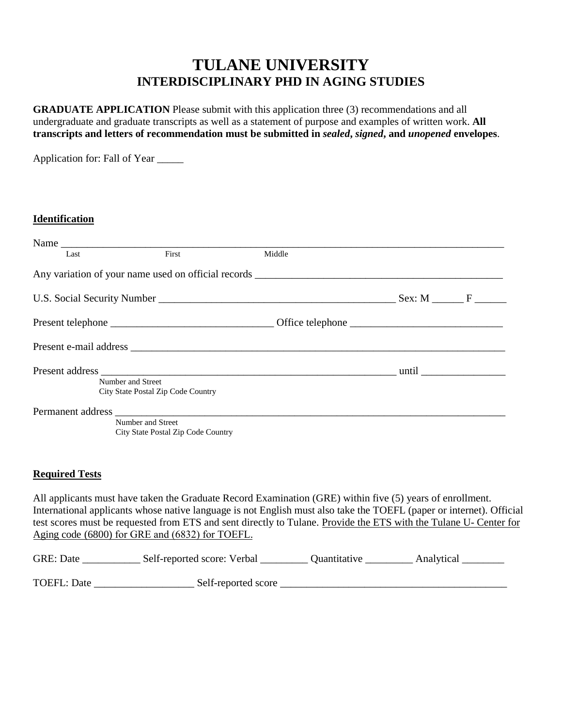### **TULANE UNIVERSITY INTERDISCIPLINARY PHD IN AGING STUDIES**

**GRADUATE APPLICATION** Please submit with this application three (3) recommendations and all undergraduate and graduate transcripts as well as a statement of purpose and examples of written work. **All transcripts and letters of recommendation must be submitted in** *sealed***,** *signed***, and** *unopened* **envelopes**.

Application for: Fall of Year \_\_\_\_\_

#### **Identification**

|      | Name $\frac{1}{\sqrt{1-\frac{1}{2}}\left\lceil \frac{1}{2}\right\rceil}$          |        |  |
|------|-----------------------------------------------------------------------------------|--------|--|
| Last | First                                                                             | Middle |  |
|      | Any variation of your name used on official records _____________________________ |        |  |
|      |                                                                                   |        |  |
|      |                                                                                   |        |  |
|      |                                                                                   |        |  |
|      | Number and Street<br>City State Postal Zip Code Country                           |        |  |
|      | Number and Street<br>City State Postal Zip Code Country                           |        |  |

#### **Required Tests**

All applicants must have taken the Graduate Record Examination (GRE) within five (5) years of enrollment. International applicants whose native language is not English must also take the TOEFL (paper or internet). Official test scores must be requested from ETS and sent directly to Tulane. Provide the ETS with the Tulane U- Center for Aging code (6800) for GRE and (6832) for TOEFL.

| <b>GRE: Date</b>   | Self-reported score: Verbal | Ouantitative | Analytical |
|--------------------|-----------------------------|--------------|------------|
| <b>TOEFL: Date</b> | Self-reported score         |              |            |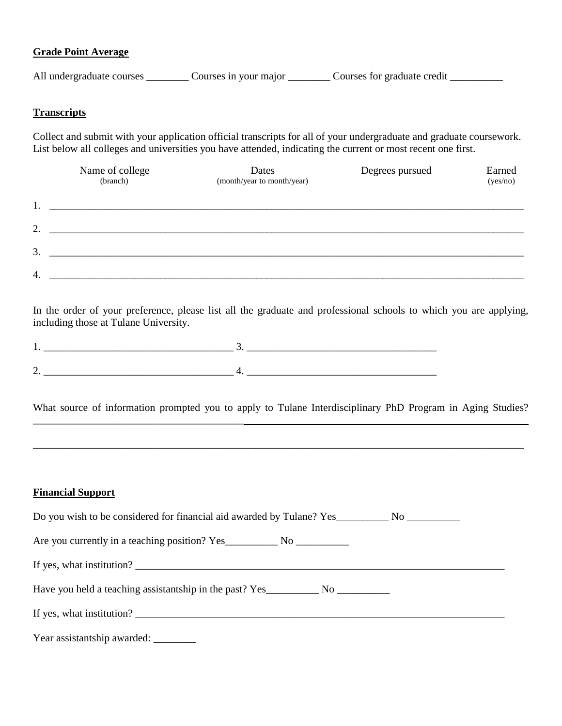#### **Grade Point Average**

All undergraduate courses \_\_\_\_\_\_\_\_ Courses in your major \_\_\_\_\_\_\_ Courses for graduate credit \_\_\_\_\_\_\_\_\_\_

#### **Transcripts**

Collect and submit with your application official transcripts for all of your undergraduate and graduate coursework. List below all colleges and universities you have attended, indicating the current or most recent one first.

|    | Name of college<br>(branch) | Dates<br>(month/year to month/year) | Degrees pursued | Earned<br>(yes/no) |
|----|-----------------------------|-------------------------------------|-----------------|--------------------|
| 1. |                             |                                     |                 |                    |
| 2. |                             |                                     |                 |                    |
| 3. |                             |                                     |                 |                    |
| 4. |                             |                                     |                 |                    |

In the order of your preference, please list all the graduate and professional schools to which you are applying, including those at Tulane University.

What source of information prompted you to apply to Tulane Interdisciplinary PhD Program in Aging Studies?

\_\_\_\_\_\_\_\_\_\_\_\_\_\_\_\_\_\_\_\_\_\_\_\_\_\_\_\_\_\_\_\_\_\_\_\_\_\_\_\_\_\_\_\_\_\_\_\_\_\_\_\_\_\_\_\_\_\_\_\_\_\_\_\_\_\_\_\_\_\_\_\_\_\_\_\_\_\_\_\_\_\_\_\_\_\_\_\_\_\_\_\_\_

 $\mathcal{L}_\text{max}$ 

#### **Financial Support**

| Do you wish to be considered for financial aid awarded by Tulane? Yes No No |  |  |  |  |
|-----------------------------------------------------------------------------|--|--|--|--|
|                                                                             |  |  |  |  |
| If yes, what institution?                                                   |  |  |  |  |
| Have you held a teaching assistantship in the past? Yes No No No            |  |  |  |  |
| If yes, what institution?                                                   |  |  |  |  |
| Year assistantship awarded: ________                                        |  |  |  |  |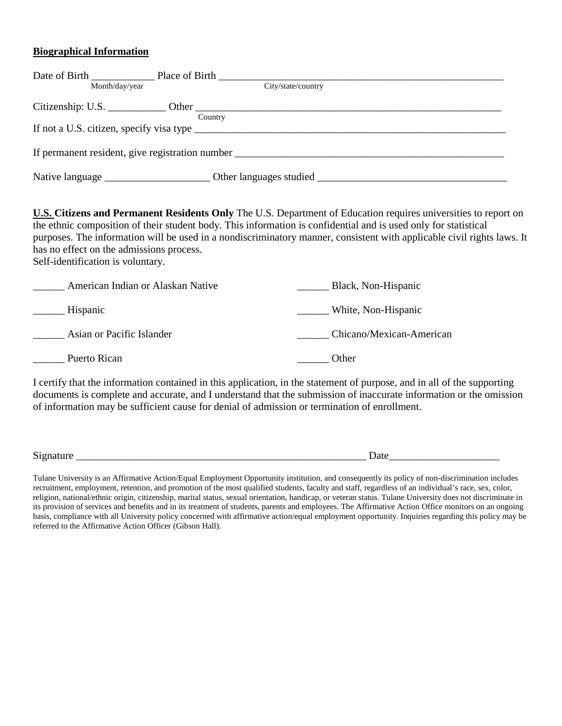#### **Biographical Information**

|                | Date of Birth Place of Birth |                                                 |
|----------------|------------------------------|-------------------------------------------------|
| Month/day/year |                              | City/state/country                              |
|                |                              |                                                 |
|                | Country                      |                                                 |
|                |                              | If not a U.S. citizen, specify visa type        |
|                |                              | If permanent resident, give registration number |
|                |                              |                                                 |

**U.S. Citizens and Permanent Residents Only** The U.S. Department of Education requires universities to report on the ethnic composition of their student body. This information is confidential and is used only for statistical purposes. The information will be used in a nondiscriminatory manner, consistent with applicable civil rights laws. It has no effect on the admissions process.

Self-identification is voluntary.

| American Indian or Alaskan Native | Black, Non-Hispanic      |
|-----------------------------------|--------------------------|
| Hispanic                          | White, Non-Hispanic      |
| Asian or Pacific Islander         | Chicano/Mexican-American |
| Puerto Rican                      | Other                    |

I certify that the information contained in this application, in the statement of purpose, and in all of the supporting documents is complete and accurate, and I understand that the submission of inaccurate information or the omission of information may be sufficient cause for denial of admission or termination of enrollment.

Signature \_\_\_\_\_\_\_\_\_\_\_\_\_\_\_\_\_\_\_\_\_\_\_\_\_\_\_\_\_\_\_\_\_\_\_\_\_\_\_\_\_\_\_\_\_\_\_\_\_\_\_\_\_\_\_ Date\_\_\_\_\_\_\_\_\_\_\_\_\_\_\_\_\_\_\_\_\_

Tulane University is an Affirmative Action/Equal Employment Opportunity institution, and consequently its policy of non-discrimination includes recruitment, employment, retention, and promotion of the most qualified students, faculty and staff, regardless of an individual's race, sex, color, religion, national/ethnic origin, citizenship, marital status, sexual orientation, handicap, or veteran status. Tulane University does not discriminate in its provision of services and benefits and in its treatment of students, parents and employees. The Affirmative Action Office monitors on an ongoing basis, compliance with all University policy concerned with affirmative action/equal employment opportunity. Inquiries regarding this policy may be referred to the Affirmative Action Officer (Gibson Hall).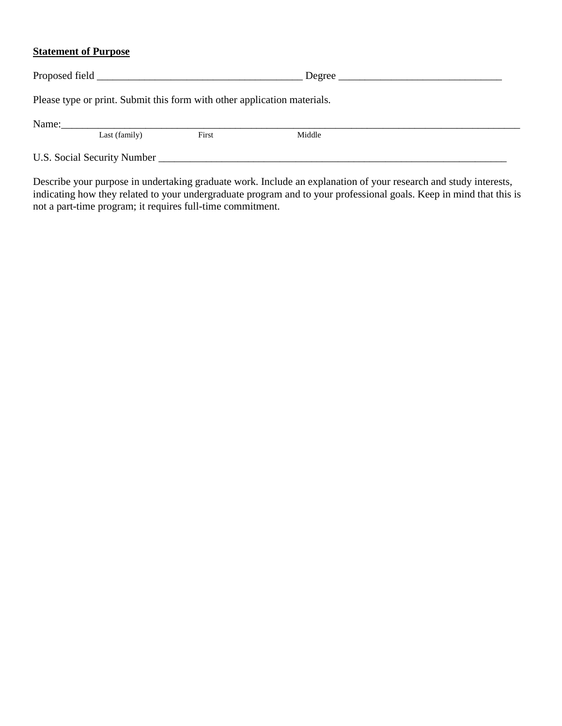#### **Statement of Purpose**

|                             | Please type or print. Submit this form with other application materials. |       |        |  |  |  |
|-----------------------------|--------------------------------------------------------------------------|-------|--------|--|--|--|
| Name:                       | Last (family)                                                            | First | Middle |  |  |  |
| U.S. Social Security Number |                                                                          |       |        |  |  |  |

Describe your purpose in undertaking graduate work. Include an explanation of your research and study interests, indicating how they related to your undergraduate program and to your professional goals. Keep in mind that this is not a part-time program; it requires full-time commitment.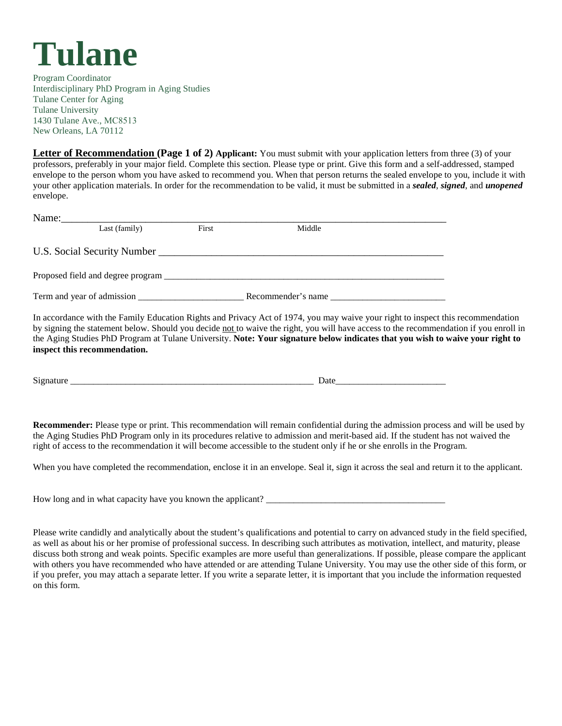

Program Coordinator Interdisciplinary PhD Program in Aging Studies Tulane Center for Aging Tulane University 1430 Tulane Ave., MC8513 New Orleans, LA 70112

**Letter of Recommendation (Page 1 of 2) Applicant:** You must submit with your application letters from three (3) of your professors, preferably in your major field. Complete this section. Please type or print. Give this form and a self-addressed, stamped envelope to the person whom you have asked to recommend you. When that person returns the sealed envelope to you, include it with your other application materials. In order for the recommendation to be valid, it must be submitted in a *sealed*, *signed*, and *unopened*  envelope.

| Name: |                            |       |                                                                                        |  |
|-------|----------------------------|-------|----------------------------------------------------------------------------------------|--|
|       | Last (family)              | First | Middle                                                                                 |  |
|       |                            |       | U.S. Social Security Number League and Security Number League and Security Number 2014 |  |
|       |                            |       |                                                                                        |  |
|       | Term and year of admission |       | Recommender's name                                                                     |  |

In accordance with the Family Education Rights and Privacy Act of 1974, you may waive your right to inspect this recommendation by signing the statement below. Should you decide not to waive the right, you will have access to the recommendation if you enroll in the Aging Studies PhD Program at Tulane University. **Note: Your signature below indicates that you wish to waive your right to inspect this recommendation.** 

Signature **Date** 

**Recommender:** Please type or print. This recommendation will remain confidential during the admission process and will be used by the Aging Studies PhD Program only in its procedures relative to admission and merit-based aid. If the student has not waived the right of access to the recommendation it will become accessible to the student only if he or she enrolls in the Program.

When you have completed the recommendation, enclose it in an envelope. Seal it, sign it across the seal and return it to the applicant.

How long and in what capacity have you known the applicant? \_\_\_\_\_\_\_\_\_\_\_\_\_\_\_\_\_\_\_\_

Please write candidly and analytically about the student's qualifications and potential to carry on advanced study in the field specified, as well as about his or her promise of professional success. In describing such attributes as motivation, intellect, and maturity, please discuss both strong and weak points. Specific examples are more useful than generalizations. If possible, please compare the applicant with others you have recommended who have attended or are attending Tulane University. You may use the other side of this form, or if you prefer, you may attach a separate letter. If you write a separate letter, it is important that you include the information requested on this form.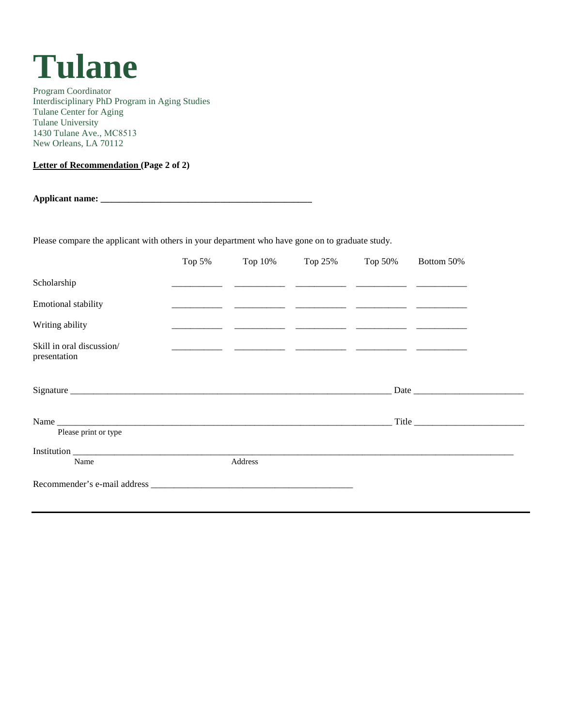## **Tulane**

Program Coordinator Interdisciplinary PhD Program in Aging Studies Tulane Center for Aging Tulane University 1430 Tulane Ave., MC8513 New Orleans, LA 70112

**Letter of Recommendation (Page 2 of 2)**

**Applicant name: \_\_\_\_\_\_\_\_\_\_\_\_\_\_\_\_\_\_\_\_\_\_\_\_\_\_\_\_\_\_\_\_\_\_\_\_\_\_\_\_\_\_\_\_\_\_** 

Please compare the applicant with others in your department who have gone on to graduate study.

|                                           | Top $5%$ | Top 10% | Top 25% | Top 50% | Bottom 50% |
|-------------------------------------------|----------|---------|---------|---------|------------|
| Scholarship                               |          |         |         |         |            |
| Emotional stability                       |          |         |         |         |            |
| Writing ability                           |          |         |         |         |            |
| Skill in oral discussion/<br>presentation |          |         |         |         |            |
|                                           |          |         |         |         |            |
| Please print or type                      |          |         |         |         | Title      |
| Name                                      |          | Address |         |         |            |
|                                           |          |         |         |         |            |